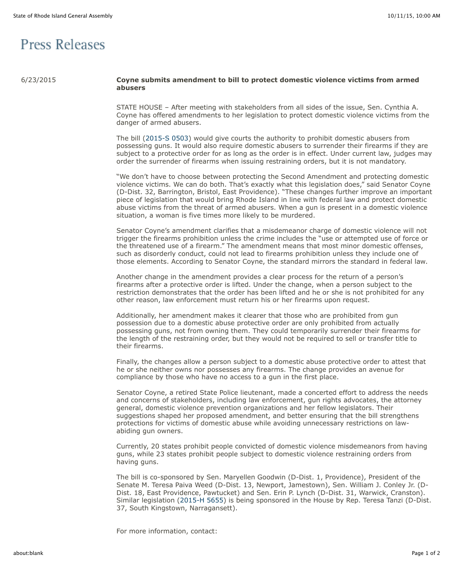## **Press Releases**

## 6/23/2015 **Coyne submits amendment to bill to protect domestic violence victims from armed abusers**

STATE HOUSE – After meeting with stakeholders from all sides of the issue, Sen. Cynthia A. Coyne has offered amendments to her legislation to protect domestic violence victims from the danger of armed abusers.

The bill [\(2015-S 0503\)](http://webserver.rilin.state.ri.us/BillText/BillText15/SenateText15/S0503.pdf) would give courts the authority to prohibit domestic abusers from possessing guns. It would also require domestic abusers to surrender their firearms if they are subject to a protective order for as long as the order is in effect. Under current law, judges may order the surrender of firearms when issuing restraining orders, but it is not mandatory.

"We don't have to choose between protecting the Second Amendment and protecting domestic violence victims. We can do both. That's exactly what this legislation does," said Senator Coyne (D-Dist. 32, Barrington, Bristol, East Providence). "These changes further improve an important piece of legislation that would bring Rhode Island in line with federal law and protect domestic abuse victims from the threat of armed abusers. When a gun is present in a domestic violence situation, a woman is five times more likely to be murdered.

Senator Coyne's amendment clarifies that a misdemeanor charge of domestic violence will not trigger the firearms prohibition unless the crime includes the "use or attempted use of force or the threatened use of a firearm." The amendment means that most minor domestic offenses, such as disorderly conduct, could not lead to firearms prohibition unless they include one of those elements. According to Senator Coyne, the standard mirrors the standard in federal law.

Another change in the amendment provides a clear process for the return of a person's firearms after a protective order is lifted. Under the change, when a person subject to the restriction demonstrates that the order has been lifted and he or she is not prohibited for any other reason, law enforcement must return his or her firearms upon request.

Additionally, her amendment makes it clearer that those who are prohibited from gun possession due to a domestic abuse protective order are only prohibited from actually possessing guns, not from owning them. They could temporarily surrender their firearms for the length of the restraining order, but they would not be required to sell or transfer title to their firearms.

Finally, the changes allow a person subject to a domestic abuse protective order to attest that he or she neither owns nor possesses any firearms. The change provides an avenue for compliance by those who have no access to a gun in the first place.

Senator Coyne, a retired State Police lieutenant, made a concerted effort to address the needs and concerns of stakeholders, including law enforcement, gun rights advocates, the attorney general, domestic violence prevention organizations and her fellow legislators. Their suggestions shaped her proposed amendment, and better ensuring that the bill strengthens protections for victims of domestic abuse while avoiding unnecessary restrictions on lawabiding gun owners.

Currently, 20 states prohibit people convicted of domestic violence misdemeanors from having guns, while 23 states prohibit people subject to domestic violence restraining orders from having guns.

The bill is co-sponsored by Sen. Maryellen Goodwin (D-Dist. 1, Providence), President of the Senate M. Teresa Paiva Weed (D-Dist. 13, Newport, Jamestown), Sen. William J. Conley Jr. (D-Dist. 18, East Providence, Pawtucket) and Sen. Erin P. Lynch (D-Dist. 31, Warwick, Cranston). Similar legislation ([2015-H 5655\)](http://webserver.rilin.state.ri.us/BillText/BillText15/HouseText15/H5655.pdf) is being sponsored in the House by Rep. Teresa Tanzi (D-Dist. 37, South Kingstown, Narragansett).

For more information, contact: